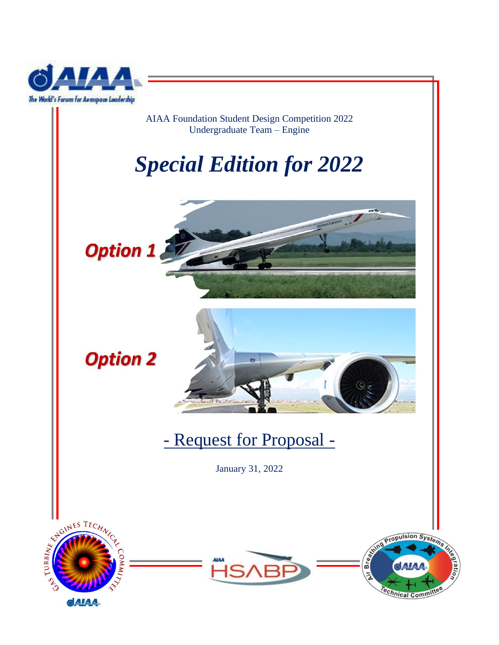

AIAA Foundation Student Design Competition 2022 Undergraduate Team – Engine

# *Special Edition for 2022*





## - Request for Proposal -

January 31, 2022



**Option 2** 



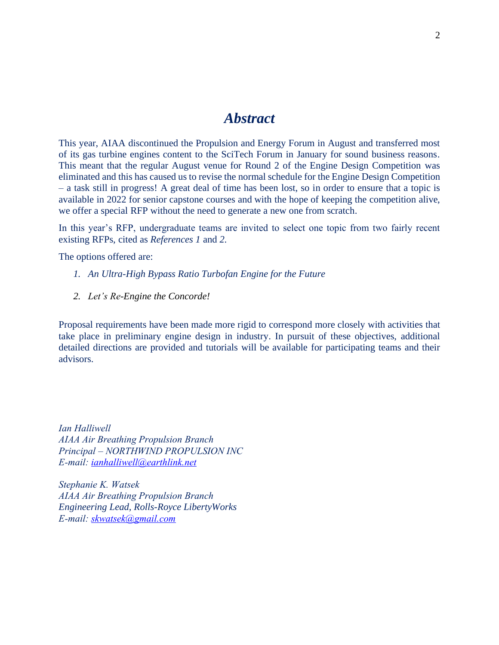## *Abstract*

This year, AIAA discontinued the Propulsion and Energy Forum in August and transferred most of its gas turbine engines content to the SciTech Forum in January for sound business reasons. This meant that the regular August venue for Round 2 of the Engine Design Competition was eliminated and this has caused us to revise the normal schedule for the Engine Design Competition – a task still in progress! A great deal of time has been lost, so in order to ensure that a topic is available in 2022 for senior capstone courses and with the hope of keeping the competition alive, we offer a special RFP without the need to generate a new one from scratch.

In this year's RFP, undergraduate teams are invited to select one topic from two fairly recent existing RFPs, cited as *References 1* and *2*.

The options offered are:

- *1. An Ultra-High Bypass Ratio Turbofan Engine for the Future*
- *2. Let's Re-Engine the Concorde!*

Proposal requirements have been made more rigid to correspond more closely with activities that take place in preliminary engine design in industry. In pursuit of these objectives, additional detailed directions are provided and tutorials will be available for participating teams and their advisors.

*Ian Halliwell AIAA Air Breathing Propulsion Branch Principal – NORTHWIND PROPULSION INC E-mail: [ianhalliwell@earthlink.net](mailto:ianhalliwell@earthlink.net)*

*Stephanie K. Watsek AIAA Air Breathing Propulsion Branch Engineering Lead, Rolls-Royce LibertyWorks E-mail: [skwatsek@gmail.com](mailto:skwatsek@gmail.com)*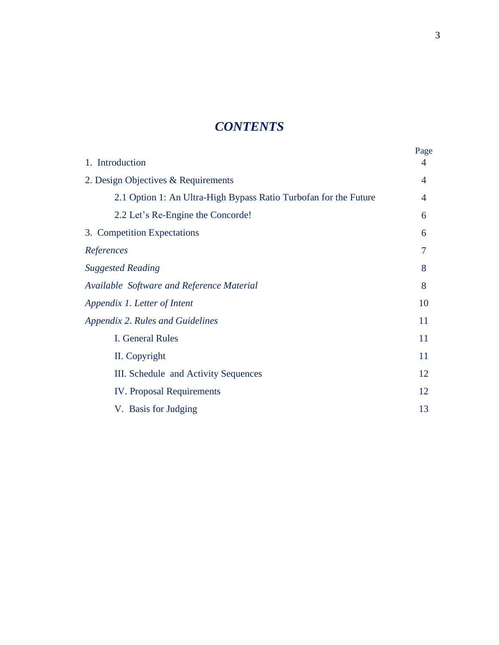## *CONTENTS*

| 1. Introduction                                                  | Page<br>4 |
|------------------------------------------------------------------|-----------|
| 2. Design Objectives & Requirements                              | 4         |
| 2.1 Option 1: An Ultra-High Bypass Ratio Turbofan for the Future | 4         |
| 2.2 Let's Re-Engine the Concorde!                                | 6         |
| 3. Competition Expectations                                      | 6         |
| References                                                       | 7         |
| <b>Suggested Reading</b>                                         | 8         |
| Available Software and Reference Material                        | 8         |
| Appendix 1. Letter of Intent                                     | 10        |
| <b>Appendix 2. Rules and Guidelines</b>                          | 11        |
| <b>I. General Rules</b>                                          | 11        |
| II. Copyright                                                    | 11        |
| III. Schedule and Activity Sequences                             | 12        |
| <b>IV.</b> Proposal Requirements                                 | 12        |
| V. Basis for Judging                                             | 13        |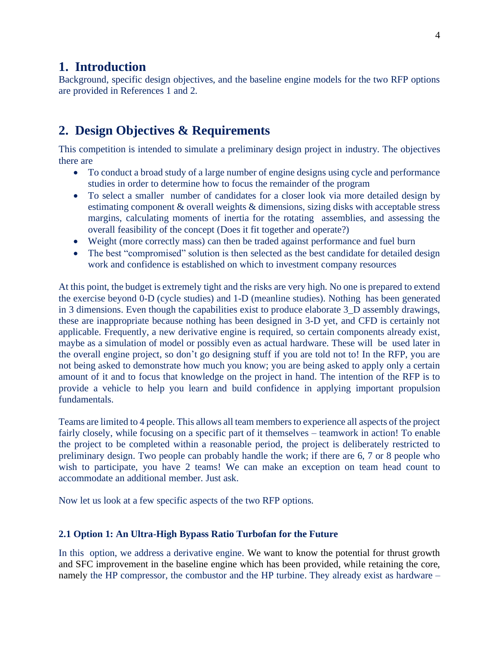## **1. Introduction**

Background, specific design objectives, and the baseline engine models for the two RFP options are provided in References 1 and 2.

## **2. Design Objectives & Requirements**

This competition is intended to simulate a preliminary design project in industry. The objectives there are

- To conduct a broad study of a large number of engine designs using cycle and performance studies in order to determine how to focus the remainder of the program
- To select a smaller number of candidates for a closer look via more detailed design by estimating component & overall weights & dimensions, sizing disks with acceptable stress margins, calculating moments of inertia for the rotating assemblies, and assessing the overall feasibility of the concept (Does it fit together and operate?)
- Weight (more correctly mass) can then be traded against performance and fuel burn
- The best "compromised" solution is then selected as the best candidate for detailed design work and confidence is established on which to investment company resources

At this point, the budget is extremely tight and the risks are very high. No one is prepared to extend the exercise beyond 0-D (cycle studies) and 1-D (meanline studies). Nothing has been generated in 3 dimensions. Even though the capabilities exist to produce elaborate 3\_D assembly drawings, these are inappropriate because nothing has been designed in 3-D yet, and CFD is certainly not applicable. Frequently, a new derivative engine is required, so certain components already exist, maybe as a simulation of model or possibly even as actual hardware. These will be used later in the overall engine project, so don't go designing stuff if you are told not to! In the RFP, you are not being asked to demonstrate how much you know; you are being asked to apply only a certain amount of it and to focus that knowledge on the project in hand. The intention of the RFP is to provide a vehicle to help you learn and build confidence in applying important propulsion fundamentals.

Teams are limited to 4 people. This allows all team members to experience all aspects of the project fairly closely, while focusing on a specific part of it themselves – teamwork in action! To enable the project to be completed within a reasonable period, the project is deliberately restricted to preliminary design. Two people can probably handle the work; if there are 6, 7 or 8 people who wish to participate, you have 2 teams! We can make an exception on team head count to accommodate an additional member. Just ask.

Now let us look at a few specific aspects of the two RFP options.

#### **2.1 Option 1: An Ultra-High Bypass Ratio Turbofan for the Future**

In this option, we address a derivative engine. We want to know the potential for thrust growth and SFC improvement in the baseline engine which has been provided, while retaining the core, namely the HP compressor, the combustor and the HP turbine. They already exist as hardware –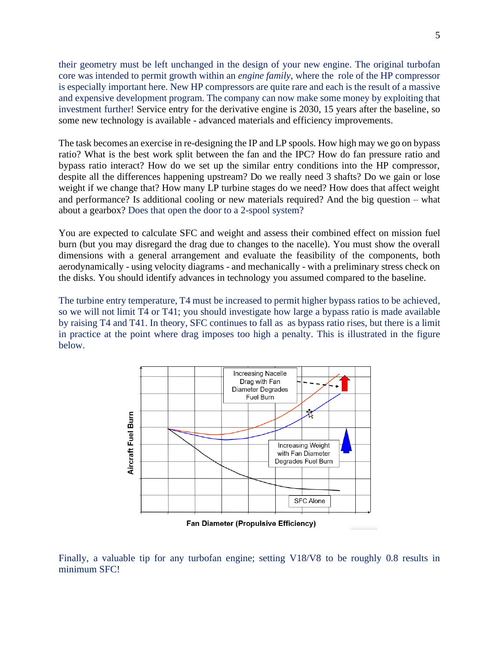their geometry must be left unchanged in the design of your new engine. The original turbofan core was intended to permit growth within an *engine family*, where the role of the HP compressor is especially important here. New HP compressors are quite rare and each is the result of a massive and expensive development program. The company can now make some money by exploiting that investment further! Service entry for the derivative engine is 2030, 15 years after the baseline, so some new technology is available - advanced materials and efficiency improvements.

The task becomes an exercise in re-designing the IP and LP spools. How high may we go on bypass ratio? What is the best work split between the fan and the IPC? How do fan pressure ratio and bypass ratio interact? How do we set up the similar entry conditions into the HP compressor, despite all the differences happening upstream? Do we really need 3 shafts? Do we gain or lose weight if we change that? How many LP turbine stages do we need? How does that affect weight and performance? Is additional cooling or new materials required? And the big question – what about a gearbox? Does that open the door to a 2-spool system?

You are expected to calculate SFC and weight and assess their combined effect on mission fuel burn (but you may disregard the drag due to changes to the nacelle). You must show the overall dimensions with a general arrangement and evaluate the feasibility of the components, both aerodynamically - using velocity diagrams - and mechanically - with a preliminary stress check on the disks. You should identify advances in technology you assumed compared to the baseline.

The turbine entry temperature, T4 must be increased to permit higher bypass ratios to be achieved, so we will not limit T4 or T41; you should investigate how large a bypass ratio is made available by raising T4 and T41. In theory, SFC continues to fall as as bypass ratio rises, but there is a limit in practice at the point where drag imposes too high a penalty. This is illustrated in the figure below.



Finally, a valuable tip for any turbofan engine; setting V18/V8 to be roughly 0.8 results in minimum SFC!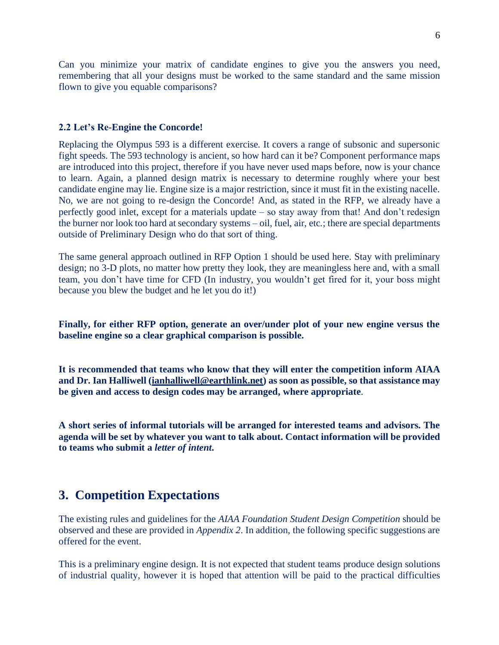Can you minimize your matrix of candidate engines to give you the answers you need, remembering that all your designs must be worked to the same standard and the same mission flown to give you equable comparisons?

#### **2.2 Let's Re-Engine the Concorde!**

Replacing the Olympus 593 is a different exercise. It covers a range of subsonic and supersonic fight speeds. The 593 technology is ancient, so how hard can it be? Component performance maps are introduced into this project, therefore if you have never used maps before, now is your chance to learn. Again, a planned design matrix is necessary to determine roughly where your best candidate engine may lie. Engine size is a major restriction, since it must fit in the existing nacelle. No, we are not going to re-design the Concorde! And, as stated in the RFP, we already have a perfectly good inlet, except for a materials update – so stay away from that! And don't redesign the burner nor look too hard at secondary systems – oil, fuel, air, etc.; there are special departments outside of Preliminary Design who do that sort of thing.

The same general approach outlined in RFP Option 1 should be used here. Stay with preliminary design; no 3-D plots, no matter how pretty they look, they are meaningless here and, with a small team, you don't have time for CFD (In industry, you wouldn't get fired for it, your boss might because you blew the budget and he let you do it!)

**Finally, for either RFP option, generate an over/under plot of your new engine versus the baseline engine so a clear graphical comparison is possible.**

**It is recommended that teams who know that they will enter the competition inform AIAA and Dr. Ian Halliwell [\(ianhalliwell@earthlink.net\)](mailto:ianhalliwell@earthlink.net) as soon as possible, so that assistance may be given and access to design codes may be arranged, where appropriate**.

**A short series of informal tutorials will be arranged for interested teams and advisors. The agenda will be set by whatever you want to talk about. Contact information will be provided to teams who submit a** *letter of intent***.**

## **3. Competition Expectations**

The existing rules and guidelines for the *AIAA Foundation Student Design Competition* should be observed and these are provided in *Appendix 2*. In addition, the following specific suggestions are offered for the event.

This is a preliminary engine design. It is not expected that student teams produce design solutions of industrial quality, however it is hoped that attention will be paid to the practical difficulties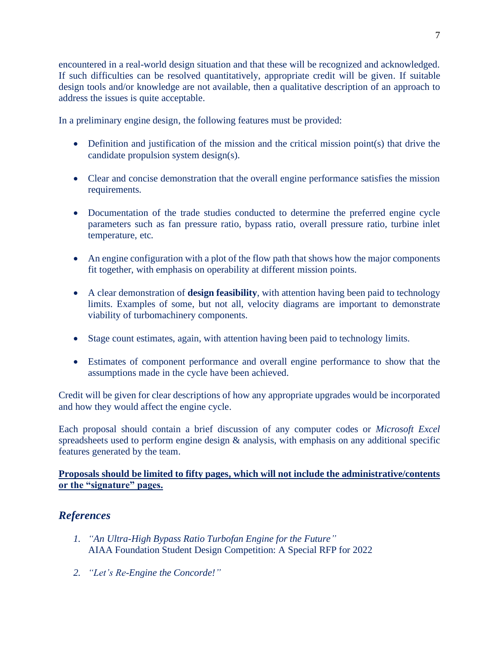encountered in a real-world design situation and that these will be recognized and acknowledged. If such difficulties can be resolved quantitatively, appropriate credit will be given. If suitable design tools and/or knowledge are not available, then a qualitative description of an approach to address the issues is quite acceptable.

In a preliminary engine design, the following features must be provided:

- Definition and justification of the mission and the critical mission point(s) that drive the candidate propulsion system design(s).
- Clear and concise demonstration that the overall engine performance satisfies the mission requirements.
- Documentation of the trade studies conducted to determine the preferred engine cycle parameters such as fan pressure ratio, bypass ratio, overall pressure ratio, turbine inlet temperature, etc.
- An engine configuration with a plot of the flow path that shows how the major components fit together, with emphasis on operability at different mission points.
- A clear demonstration of **design feasibility**, with attention having been paid to technology limits. Examples of some, but not all, velocity diagrams are important to demonstrate viability of turbomachinery components.
- Stage count estimates, again, with attention having been paid to technology limits.
- Estimates of component performance and overall engine performance to show that the assumptions made in the cycle have been achieved.

Credit will be given for clear descriptions of how any appropriate upgrades would be incorporated and how they would affect the engine cycle.

Each proposal should contain a brief discussion of any computer codes or *Microsoft Excel* spreadsheets used to perform engine design  $\&$  analysis, with emphasis on any additional specific features generated by the team.

#### **Proposals should be limited to fifty pages, which will not include the administrative/contents or the "signature" pages.**

## *References*

- *1. "An Ultra-High Bypass Ratio Turbofan Engine for the Future"* AIAA Foundation Student Design Competition: A Special RFP for 2022
- *2. "Let's Re-Engine the Concorde!"*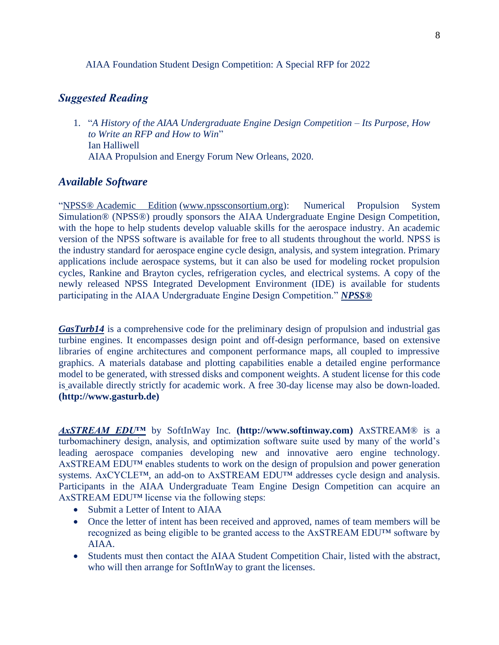#### AIAA Foundation Student Design Competition: A Special RFP for 2022

#### *Suggested Reading*

1. "*A History of the AIAA Undergraduate Engine Design Competition – Its Purpose, How to Write an RFP and How to Win*" Ian Halliwell AIAA Propulsion and Energy Forum New Orleans, 2020.

#### *Available Software*

"NPSS® Academic Edition [\(www.npssconsortium.org\)](http://www.npssconsortium.org/): Numerical Propulsion System Simulation® (NPSS®) proudly sponsors the AIAA Undergraduate Engine Design Competition, with the hope to help students develop valuable skills for the aerospace industry. An academic version of the NPSS software is available for free to all students throughout the world. NPSS is the industry standard for aerospace engine cycle design, analysis, and system integration. Primary applications include aerospace systems, but it can also be used for modeling rocket propulsion cycles, Rankine and Brayton cycles, refrigeration cycles, and electrical systems. A copy of the newly released NPSS Integrated Development Environment (IDE) is available for students participating in the AIAA Undergraduate Engine Design Competition." *NPSS®* 

*GasTurb14* is a comprehensive code for the preliminary design of propulsion and industrial gas turbine engines. It encompasses design point and off-design performance, based on extensive libraries of engine architectures and component performance maps, all coupled to impressive graphics. A materials database and plotting capabilities enable a detailed engine performance model to be generated, with stressed disks and component weights. A student license for this code is available directly strictly for academic work. A free 30-day license may also be down-loaded. **(http://www.gasturb.de)**

*AxSTREAM EDU™* by SoftInWay Inc. **(http://www.softinway.com)** AxSTREAM® is a turbomachinery design, analysis, and optimization software suite used by many of the world's leading aerospace companies developing new and innovative aero engine technology. AxSTREAM EDU™ enables students to work on the design of propulsion and power generation systems. AxCYCLE™, an add-on to AxSTREAM EDU™ addresses cycle design and analysis. Participants in the AIAA Undergraduate Team Engine Design Competition can acquire an AxSTREAM EDU<sup>™</sup> license via the following steps:

- Submit a Letter of Intent to AIAA
- Once the letter of intent has been received and approved, names of team members will be recognized as being eligible to be granted access to the AxSTREAM EDU™ software by AIAA.
- Students must then contact the AIAA Student Competition Chair, listed with the abstract, who will then arrange for SoftInWay to grant the licenses.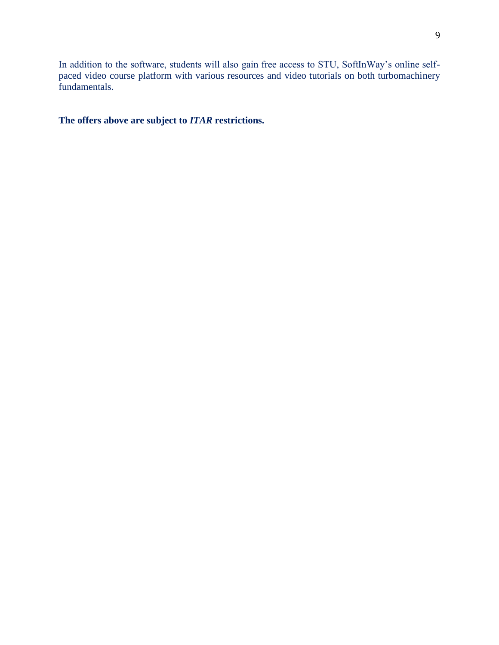In addition to the software, students will also gain free access to STU, SoftInWay's online selfpaced video course platform with various resources and video tutorials on both turbomachinery fundamentals.

**The offers above are subject to** *ITAR* **restrictions.**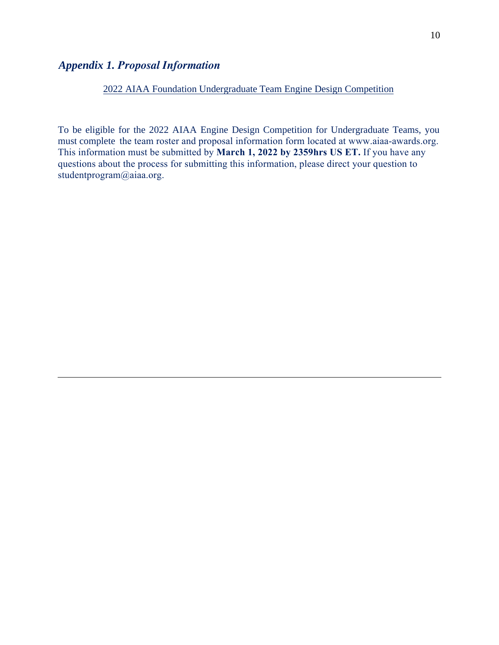## *Appendix 1. Proposal Information*

#### 2022 AIAA Foundation Undergraduate Team Engine Design Competition

To be eligible for the 2022 AIAA Engine Design Competition for Undergraduate Teams, you must complete the team roster and proposal information form located at www.aiaa-awards.org. This information must be submitted by **March 1, 2022 by 2359hrs US ET.** If you have any questions about the process for submitting this information, please direct your question to studentprogram@aiaa.org.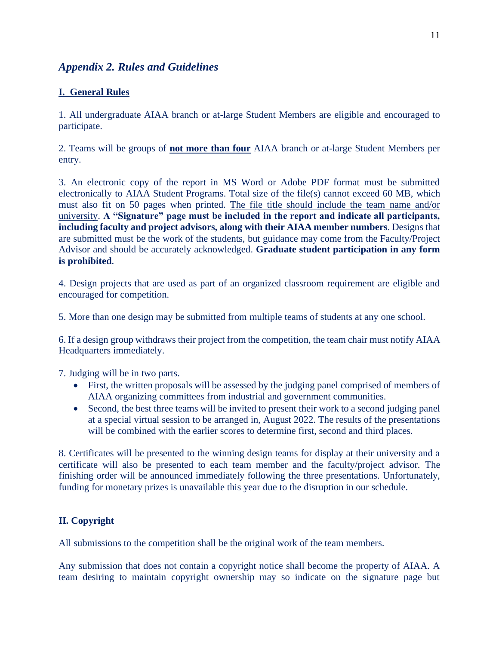## *Appendix 2. Rules and Guidelines*

#### **I. General Rules**

1. All undergraduate AIAA branch or at-large Student Members are eligible and encouraged to participate.

2. Teams will be groups of **not more than four** AIAA branch or at-large Student Members per entry.

3. An electronic copy of the report in MS Word or Adobe PDF format must be submitted electronically to AIAA Student Programs. Total size of the file(s) cannot exceed 60 MB, which must also fit on 50 pages when printed. The file title should include the team name and/or university. **A "Signature" page must be included in the report and indicate all participants, including faculty and project advisors, along with their AIAA member numbers**. Designs that are submitted must be the work of the students, but guidance may come from the Faculty/Project Advisor and should be accurately acknowledged. **Graduate student participation in any form is prohibited**.

4. Design projects that are used as part of an organized classroom requirement are eligible and encouraged for competition.

5. More than one design may be submitted from multiple teams of students at any one school.

6. If a design group withdraws their project from the competition, the team chair must notify AIAA Headquarters immediately.

7. Judging will be in two parts.

- First, the written proposals will be assessed by the judging panel comprised of members of AIAA organizing committees from industrial and government communities.
- Second, the best three teams will be invited to present their work to a second judging panel at a special virtual session to be arranged in, August 2022. The results of the presentations will be combined with the earlier scores to determine first, second and third places.

8. Certificates will be presented to the winning design teams for display at their university and a certificate will also be presented to each team member and the faculty/project advisor. The finishing order will be announced immediately following the three presentations. Unfortunately, funding for monetary prizes is unavailable this year due to the disruption in our schedule.

#### **II. Copyright**

All submissions to the competition shall be the original work of the team members.

Any submission that does not contain a copyright notice shall become the property of AIAA. A team desiring to maintain copyright ownership may so indicate on the signature page but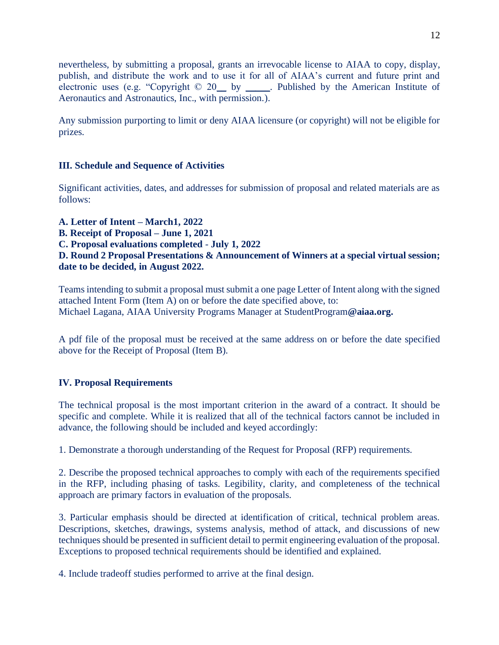nevertheless, by submitting a proposal, grants an irrevocable license to AIAA to copy, display, publish, and distribute the work and to use it for all of AIAA's current and future print and electronic uses (e.g. "Copyright © 20\_\_ by \_\_\_\_\_. Published by the American Institute of Aeronautics and Astronautics, Inc., with permission.).

Any submission purporting to limit or deny AIAA licensure (or copyright) will not be eligible for prizes.

#### **III. Schedule and Sequence of Activities**

Significant activities, dates, and addresses for submission of proposal and related materials are as follows:

**A. Letter of Intent – March1, 2022 B. Receipt of Proposal – June 1, 2021 C. Proposal evaluations completed** - **July 1, 2022 D. Round 2 Proposal Presentations & Announcement of Winners at a special virtual session; date to be decided, in August 2022.** 

Teams intending to submit a proposal must submit a one page Letter of Intent along with the signed attached Intent Form (Item A) on or before the date specified above, to: Michael Lagana, AIAA University Programs Manager at StudentProgram**@aiaa.org.**

A pdf file of the proposal must be received at the same address on or before the date specified above for the Receipt of Proposal (Item B).

#### **IV. Proposal Requirements**

The technical proposal is the most important criterion in the award of a contract. It should be specific and complete. While it is realized that all of the technical factors cannot be included in advance, the following should be included and keyed accordingly:

1. Demonstrate a thorough understanding of the Request for Proposal (RFP) requirements.

2. Describe the proposed technical approaches to comply with each of the requirements specified in the RFP, including phasing of tasks. Legibility, clarity, and completeness of the technical approach are primary factors in evaluation of the proposals.

3. Particular emphasis should be directed at identification of critical, technical problem areas. Descriptions, sketches, drawings, systems analysis, method of attack, and discussions of new techniques should be presented in sufficient detail to permit engineering evaluation of the proposal. Exceptions to proposed technical requirements should be identified and explained.

4. Include tradeoff studies performed to arrive at the final design.